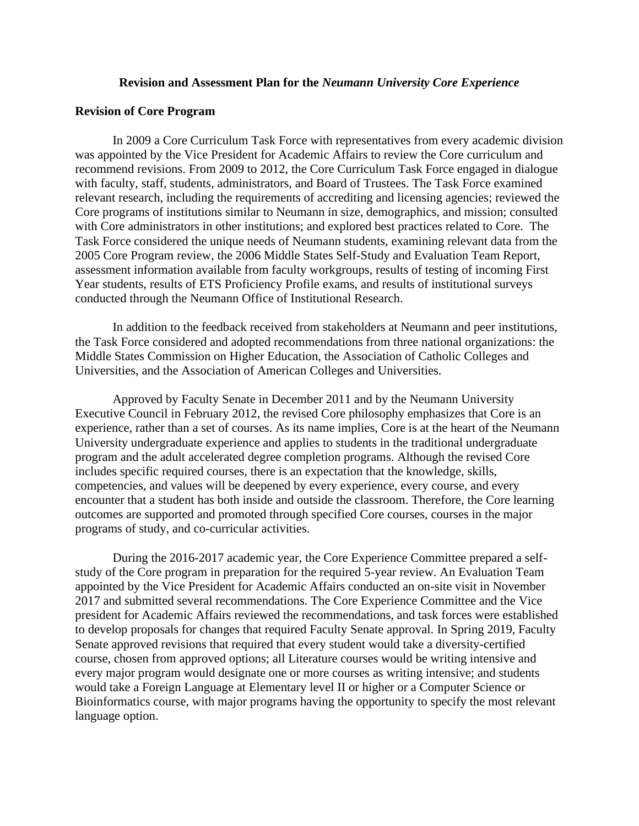## **Revision and Assessment Plan for the** *Neumann University Core Experience*

### **Revision of Core Program**

In 2009 a Core Curriculum Task Force with representatives from every academic division was appointed by the Vice President for Academic Affairs to review the Core curriculum and recommend revisions. From 2009 to 2012, the Core Curriculum Task Force engaged in dialogue with faculty, staff, students, administrators, and Board of Trustees. The Task Force examined relevant research, including the requirements of accrediting and licensing agencies; reviewed the Core programs of institutions similar to Neumann in size, demographics, and mission; consulted with Core administrators in other institutions; and explored best practices related to Core. The Task Force considered the unique needs of Neumann students, examining relevant data from the 2005 Core Program review, the 2006 Middle States Self-Study and Evaluation Team Report, assessment information available from faculty workgroups, results of testing of incoming First Year students, results of ETS Proficiency Profile exams, and results of institutional surveys conducted through the Neumann Office of Institutional Research.

In addition to the feedback received from stakeholders at Neumann and peer institutions, the Task Force considered and adopted recommendations from three national organizations: the Middle States Commission on Higher Education, the Association of Catholic Colleges and Universities, and the Association of American Colleges and Universities.

Approved by Faculty Senate in December 2011 and by the Neumann University Executive Council in February 2012, the revised Core philosophy emphasizes that Core is an experience, rather than a set of courses. As its name implies, Core is at the heart of the Neumann University undergraduate experience and applies to students in the traditional undergraduate program and the adult accelerated degree completion programs. Although the revised Core includes specific required courses, there is an expectation that the knowledge, skills, competencies, and values will be deepened by every experience, every course, and every encounter that a student has both inside and outside the classroom. Therefore, the Core learning outcomes are supported and promoted through specified Core courses, courses in the major programs of study, and co-curricular activities.

During the 2016-2017 academic year, the Core Experience Committee prepared a selfstudy of the Core program in preparation for the required 5-year review. An Evaluation Team appointed by the Vice President for Academic Affairs conducted an on-site visit in November 2017 and submitted several recommendations. The Core Experience Committee and the Vice president for Academic Affairs reviewed the recommendations, and task forces were established to develop proposals for changes that required Faculty Senate approval. In Spring 2019, Faculty Senate approved revisions that required that every student would take a diversity-certified course, chosen from approved options; all Literature courses would be writing intensive and every major program would designate one or more courses as writing intensive; and students would take a Foreign Language at Elementary level II or higher or a Computer Science or Bioinformatics course, with major programs having the opportunity to specify the most relevant language option.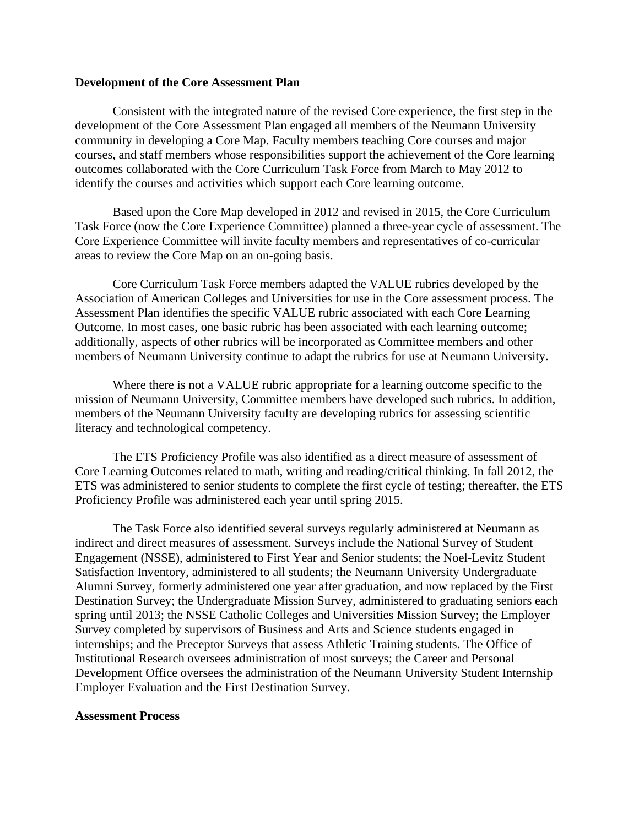## **Development of the Core Assessment Plan**

Consistent with the integrated nature of the revised Core experience, the first step in the development of the Core Assessment Plan engaged all members of the Neumann University community in developing a Core Map. Faculty members teaching Core courses and major courses, and staff members whose responsibilities support the achievement of the Core learning outcomes collaborated with the Core Curriculum Task Force from March to May 2012 to identify the courses and activities which support each Core learning outcome.

Based upon the Core Map developed in 2012 and revised in 2015, the Core Curriculum Task Force (now the Core Experience Committee) planned a three-year cycle of assessment. The Core Experience Committee will invite faculty members and representatives of co-curricular areas to review the Core Map on an on-going basis.

Core Curriculum Task Force members adapted the VALUE rubrics developed by the Association of American Colleges and Universities for use in the Core assessment process. The Assessment Plan identifies the specific VALUE rubric associated with each Core Learning Outcome. In most cases, one basic rubric has been associated with each learning outcome; additionally, aspects of other rubrics will be incorporated as Committee members and other members of Neumann University continue to adapt the rubrics for use at Neumann University.

Where there is not a VALUE rubric appropriate for a learning outcome specific to the mission of Neumann University, Committee members have developed such rubrics. In addition, members of the Neumann University faculty are developing rubrics for assessing scientific literacy and technological competency.

The ETS Proficiency Profile was also identified as a direct measure of assessment of Core Learning Outcomes related to math, writing and reading/critical thinking. In fall 2012, the ETS was administered to senior students to complete the first cycle of testing; thereafter, the ETS Proficiency Profile was administered each year until spring 2015.

The Task Force also identified several surveys regularly administered at Neumann as indirect and direct measures of assessment. Surveys include the National Survey of Student Engagement (NSSE), administered to First Year and Senior students; the Noel-Levitz Student Satisfaction Inventory, administered to all students; the Neumann University Undergraduate Alumni Survey, formerly administered one year after graduation, and now replaced by the First Destination Survey; the Undergraduate Mission Survey, administered to graduating seniors each spring until 2013; the NSSE Catholic Colleges and Universities Mission Survey; the Employer Survey completed by supervisors of Business and Arts and Science students engaged in internships; and the Preceptor Surveys that assess Athletic Training students. The Office of Institutional Research oversees administration of most surveys; the Career and Personal Development Office oversees the administration of the Neumann University Student Internship Employer Evaluation and the First Destination Survey.

#### **Assessment Process**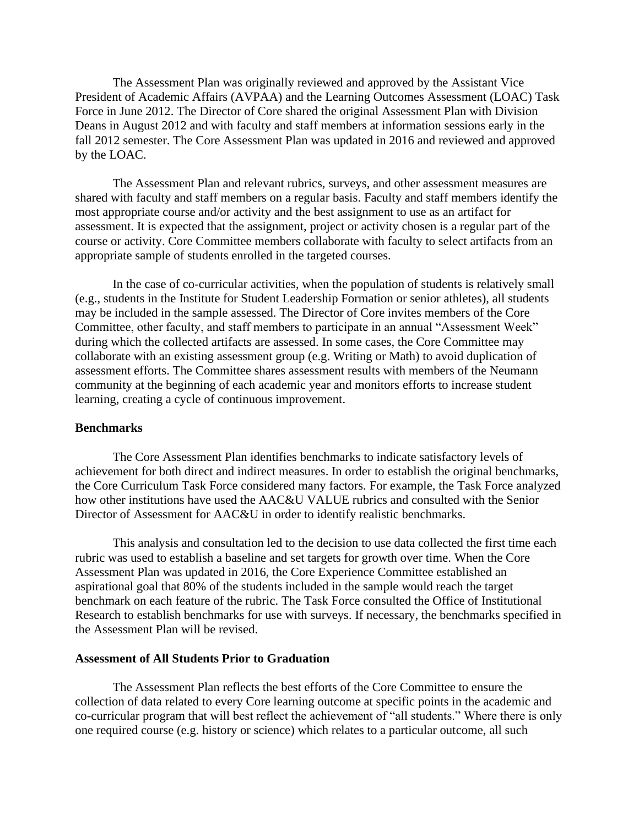The Assessment Plan was originally reviewed and approved by the Assistant Vice President of Academic Affairs (AVPAA) and the Learning Outcomes Assessment (LOAC) Task Force in June 2012. The Director of Core shared the original Assessment Plan with Division Deans in August 2012 and with faculty and staff members at information sessions early in the fall 2012 semester. The Core Assessment Plan was updated in 2016 and reviewed and approved by the LOAC.

The Assessment Plan and relevant rubrics, surveys, and other assessment measures are shared with faculty and staff members on a regular basis. Faculty and staff members identify the most appropriate course and/or activity and the best assignment to use as an artifact for assessment. It is expected that the assignment, project or activity chosen is a regular part of the course or activity. Core Committee members collaborate with faculty to select artifacts from an appropriate sample of students enrolled in the targeted courses.

In the case of co-curricular activities, when the population of students is relatively small (e.g., students in the Institute for Student Leadership Formation or senior athletes), all students may be included in the sample assessed. The Director of Core invites members of the Core Committee, other faculty, and staff members to participate in an annual "Assessment Week" during which the collected artifacts are assessed. In some cases, the Core Committee may collaborate with an existing assessment group (e.g. Writing or Math) to avoid duplication of assessment efforts. The Committee shares assessment results with members of the Neumann community at the beginning of each academic year and monitors efforts to increase student learning, creating a cycle of continuous improvement.

#### **Benchmarks**

The Core Assessment Plan identifies benchmarks to indicate satisfactory levels of achievement for both direct and indirect measures. In order to establish the original benchmarks, the Core Curriculum Task Force considered many factors. For example, the Task Force analyzed how other institutions have used the AAC&U VALUE rubrics and consulted with the Senior Director of Assessment for AAC&U in order to identify realistic benchmarks.

This analysis and consultation led to the decision to use data collected the first time each rubric was used to establish a baseline and set targets for growth over time. When the Core Assessment Plan was updated in 2016, the Core Experience Committee established an aspirational goal that 80% of the students included in the sample would reach the target benchmark on each feature of the rubric. The Task Force consulted the Office of Institutional Research to establish benchmarks for use with surveys. If necessary, the benchmarks specified in the Assessment Plan will be revised.

## **Assessment of All Students Prior to Graduation**

The Assessment Plan reflects the best efforts of the Core Committee to ensure the collection of data related to every Core learning outcome at specific points in the academic and co-curricular program that will best reflect the achievement of "all students." Where there is only one required course (e.g. history or science) which relates to a particular outcome, all such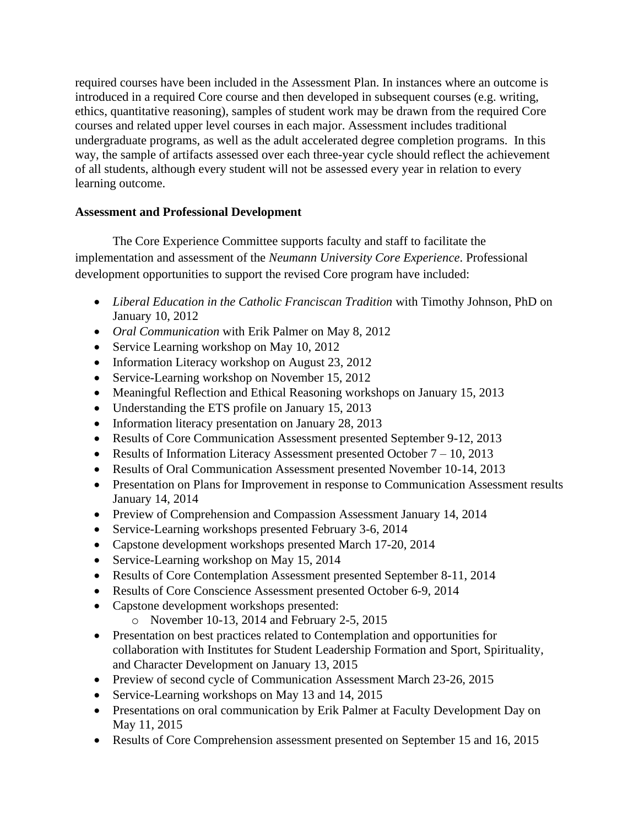required courses have been included in the Assessment Plan. In instances where an outcome is introduced in a required Core course and then developed in subsequent courses (e.g. writing, ethics, quantitative reasoning), samples of student work may be drawn from the required Core courses and related upper level courses in each major. Assessment includes traditional undergraduate programs, as well as the adult accelerated degree completion programs. In this way, the sample of artifacts assessed over each three-year cycle should reflect the achievement of all students, although every student will not be assessed every year in relation to every learning outcome.

# **Assessment and Professional Development**

The Core Experience Committee supports faculty and staff to facilitate the implementation and assessment of the *Neumann University Core Experience*. Professional development opportunities to support the revised Core program have included:

- *Liberal Education in the Catholic Franciscan Tradition* with Timothy Johnson, PhD on January 10, 2012
- *Oral Communication* with Erik Palmer on May 8, 2012
- Service Learning workshop on May 10, 2012
- Information Literacy workshop on August 23, 2012
- Service-Learning workshop on November 15, 2012
- Meaningful Reflection and Ethical Reasoning workshops on January 15, 2013
- Understanding the ETS profile on January 15, 2013
- Information literacy presentation on January 28, 2013
- Results of Core Communication Assessment presented September 9-12, 2013
- Results of Information Literacy Assessment presented October  $7 10$ , 2013
- Results of Oral Communication Assessment presented November 10-14, 2013
- Presentation on Plans for Improvement in response to Communication Assessment results January 14, 2014
- Preview of Comprehension and Compassion Assessment January 14, 2014
- Service-Learning workshops presented February 3-6, 2014
- Capstone development workshops presented March 17-20, 2014
- Service-Learning workshop on May 15, 2014
- Results of Core Contemplation Assessment presented September 8-11, 2014
- Results of Core Conscience Assessment presented October 6-9, 2014
- Capstone development workshops presented:
	- o November 10-13, 2014 and February 2-5, 2015
- Presentation on best practices related to Contemplation and opportunities for collaboration with Institutes for Student Leadership Formation and Sport, Spirituality, and Character Development on January 13, 2015
- Preview of second cycle of Communication Assessment March 23-26, 2015
- Service-Learning workshops on May 13 and 14, 2015
- Presentations on oral communication by Erik Palmer at Faculty Development Day on May 11, 2015
- Results of Core Comprehension assessment presented on September 15 and 16, 2015